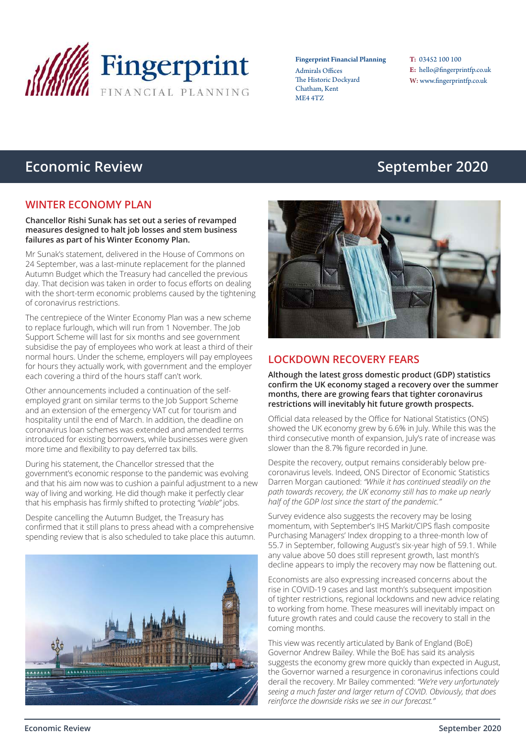

Fingerprint Financial Planning Admirals Offices The Historic Dockyard Chatham, Kent ME4 4TZ

T: 03452 100 100 E: hello@fingerprintfp.co.uk W: www.fingerprintfp.co.uk

# **Economic Review <b>September 2020**

## **WINTER ECONOMY PLAN**

#### **Chancellor Rishi Sunak has set out a series of revamped measures designed to halt job losses and stem business failures as part of his Winter Economy Plan.**

Mr Sunak's statement, delivered in the House of Commons on 24 September, was a last-minute replacement for the planned Autumn Budget which the Treasury had cancelled the previous day. That decision was taken in order to focus efforts on dealing with the short-term economic problems caused by the tightening of coronavirus restrictions.

The centrepiece of the Winter Economy Plan was a new scheme to replace furlough, which will run from 1 November. The Job Support Scheme will last for six months and see government subsidise the pay of employees who work at least a third of their normal hours. Under the scheme, employers will pay employees for hours they actually work, with government and the employer each covering a third of the hours staff can't work.

Other announcements included a continuation of the selfemployed grant on similar terms to the Job Support Scheme and an extension of the emergency VAT cut for tourism and hospitality until the end of March. In addition, the deadline on coronavirus loan schemes was extended and amended terms introduced for existing borrowers, while businesses were given more time and flexibility to pay deferred tax bills.

During his statement, the Chancellor stressed that the government's economic response to the pandemic was evolving and that his aim now was to cushion a painful adjustment to a new way of living and working. He did though make it perfectly clear that his emphasis has firmly shifted to protecting *"viable"* jobs.

Despite cancelling the Autumn Budget, the Treasury has confirmed that it still plans to press ahead with a comprehensive spending review that is also scheduled to take place this autumn.





### **LOCKDOWN RECOVERY FEARS**

**Although the latest gross domestic product (GDP) statistics confirm the UK economy staged a recovery over the summer months, there are growing fears that tighter coronavirus restrictions will inevitably hit future growth prospects.**

Official data released by the Office for National Statistics (ONS) showed the UK economy grew by 6.6% in July. While this was the third consecutive month of expansion, July's rate of increase was slower than the 8.7% figure recorded in June.

Despite the recovery, output remains considerably below precoronavirus levels. Indeed, ONS Director of Economic Statistics Darren Morgan cautioned: *"While it has continued steadily on the path towards recovery, the UK economy still has to make up nearly half of the GDP lost since the start of the pandemic."*

Survey evidence also suggests the recovery may be losing momentum, with September's IHS Markit/CIPS flash composite Purchasing Managers' Index dropping to a three-month low of 55.7 in September, following August's six-year high of 59.1. While any value above 50 does still represent growth, last month's decline appears to imply the recovery may now be flattening out.

Economists are also expressing increased concerns about the rise in COVID-19 cases and last month's subsequent imposition of tighter restrictions, regional lockdowns and new advice relating to working from home. These measures will inevitably impact on future growth rates and could cause the recovery to stall in the coming months.

This view was recently articulated by Bank of England (BoE) Governor Andrew Bailey. While the BoE has said its analysis suggests the economy grew more quickly than expected in August, the Governor warned a resurgence in coronavirus infections could derail the recovery. Mr Bailey commented: *"We're very unfortunately seeing a much faster and larger return of COVID. Obviously, that does reinforce the downside risks we see in our forecast."*